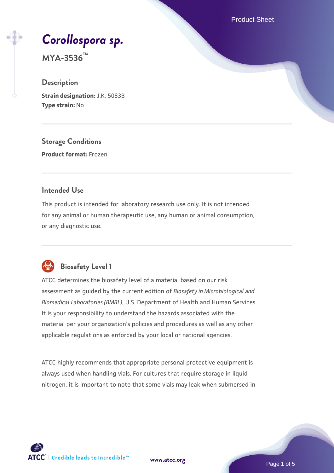Product Sheet

# *[Corollospora sp.](https://www.atcc.org/products/mya-3536)*

**MYA-3536™**

#### **Description**

**Strain designation:** J.K. 5083B **Type strain:** No

**Storage Conditions**

**Product format:** Frozen

#### **Intended Use**

This product is intended for laboratory research use only. It is not intended for any animal or human therapeutic use, any human or animal consumption, or any diagnostic use.



# **Biosafety Level 1**

ATCC determines the biosafety level of a material based on our risk assessment as guided by the current edition of *Biosafety in Microbiological and Biomedical Laboratories (BMBL)*, U.S. Department of Health and Human Services. It is your responsibility to understand the hazards associated with the material per your organization's policies and procedures as well as any other applicable regulations as enforced by your local or national agencies.

ATCC highly recommends that appropriate personal protective equipment is always used when handling vials. For cultures that require storage in liquid nitrogen, it is important to note that some vials may leak when submersed in

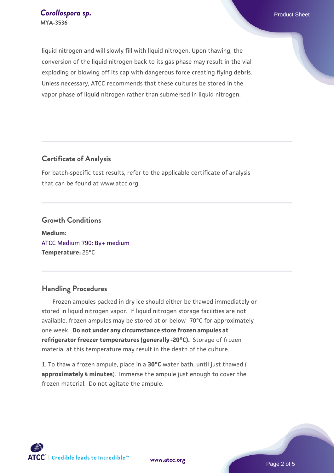liquid nitrogen and will slowly fill with liquid nitrogen. Upon thawing, the conversion of the liquid nitrogen back to its gas phase may result in the vial exploding or blowing off its cap with dangerous force creating flying debris. Unless necessary, ATCC recommends that these cultures be stored in the vapor phase of liquid nitrogen rather than submersed in liquid nitrogen.

#### **Certificate of Analysis**

For batch-specific test results, refer to the applicable certificate of analysis that can be found at www.atcc.org.

#### **Growth Conditions**

**Medium:**  [ATCC Medium 790: By+ medium](https://www.atcc.org/-/media/product-assets/documents/microbial-media-formulations/7/9/0/atcc-medium-790.pdf?rev=16bd8c73853840ee9a63d6a1f4589a74) **Temperature:** 25°C

#### **Handling Procedures**

 Frozen ampules packed in dry ice should either be thawed immediately or stored in liquid nitrogen vapor. If liquid nitrogen storage facilities are not available, frozen ampules may be stored at or below -70°C for approximately one week. **Do not under any circumstance store frozen ampules at refrigerator freezer temperatures (generally -20°C).** Storage of frozen material at this temperature may result in the death of the culture.

1. To thaw a frozen ampule, place in a **30°C** water bath, until just thawed ( **approximately 4 minutes**). Immerse the ampule just enough to cover the frozen material. Do not agitate the ampule.



**[www.atcc.org](http://www.atcc.org)**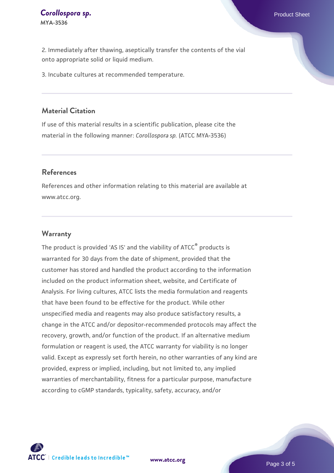2. Immediately after thawing, aseptically transfer the contents of the vial onto appropriate solid or liquid medium.

3. Incubate cultures at recommended temperature.

#### **Material Citation**

If use of this material results in a scientific publication, please cite the material in the following manner: *Corollospora sp.* (ATCC MYA-3536)

#### **References**

References and other information relating to this material are available at www.atcc.org.

#### **Warranty**

The product is provided 'AS IS' and the viability of ATCC<sup>®</sup> products is warranted for 30 days from the date of shipment, provided that the customer has stored and handled the product according to the information included on the product information sheet, website, and Certificate of Analysis. For living cultures, ATCC lists the media formulation and reagents that have been found to be effective for the product. While other unspecified media and reagents may also produce satisfactory results, a change in the ATCC and/or depositor-recommended protocols may affect the recovery, growth, and/or function of the product. If an alternative medium formulation or reagent is used, the ATCC warranty for viability is no longer valid. Except as expressly set forth herein, no other warranties of any kind are provided, express or implied, including, but not limited to, any implied warranties of merchantability, fitness for a particular purpose, manufacture according to cGMP standards, typicality, safety, accuracy, and/or

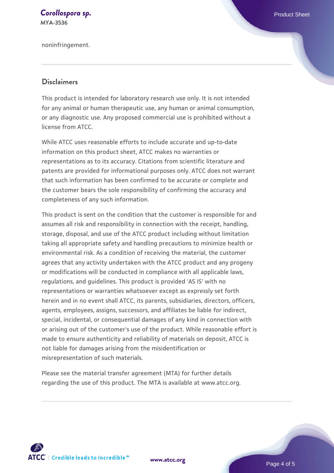# **[Corollospora sp.](https://www.atcc.org/products/mya-3536) Corollospora sp. Product Sheet**

**MYA-3536**

noninfringement.

#### **Disclaimers**

This product is intended for laboratory research use only. It is not intended for any animal or human therapeutic use, any human or animal consumption, or any diagnostic use. Any proposed commercial use is prohibited without a license from ATCC.

While ATCC uses reasonable efforts to include accurate and up-to-date information on this product sheet, ATCC makes no warranties or representations as to its accuracy. Citations from scientific literature and patents are provided for informational purposes only. ATCC does not warrant that such information has been confirmed to be accurate or complete and the customer bears the sole responsibility of confirming the accuracy and completeness of any such information.

This product is sent on the condition that the customer is responsible for and assumes all risk and responsibility in connection with the receipt, handling, storage, disposal, and use of the ATCC product including without limitation taking all appropriate safety and handling precautions to minimize health or environmental risk. As a condition of receiving the material, the customer agrees that any activity undertaken with the ATCC product and any progeny or modifications will be conducted in compliance with all applicable laws, regulations, and guidelines. This product is provided 'AS IS' with no representations or warranties whatsoever except as expressly set forth herein and in no event shall ATCC, its parents, subsidiaries, directors, officers, agents, employees, assigns, successors, and affiliates be liable for indirect, special, incidental, or consequential damages of any kind in connection with or arising out of the customer's use of the product. While reasonable effort is made to ensure authenticity and reliability of materials on deposit, ATCC is not liable for damages arising from the misidentification or misrepresentation of such materials.

Please see the material transfer agreement (MTA) for further details regarding the use of this product. The MTA is available at www.atcc.org.



**[www.atcc.org](http://www.atcc.org)**

Page 4 of 5